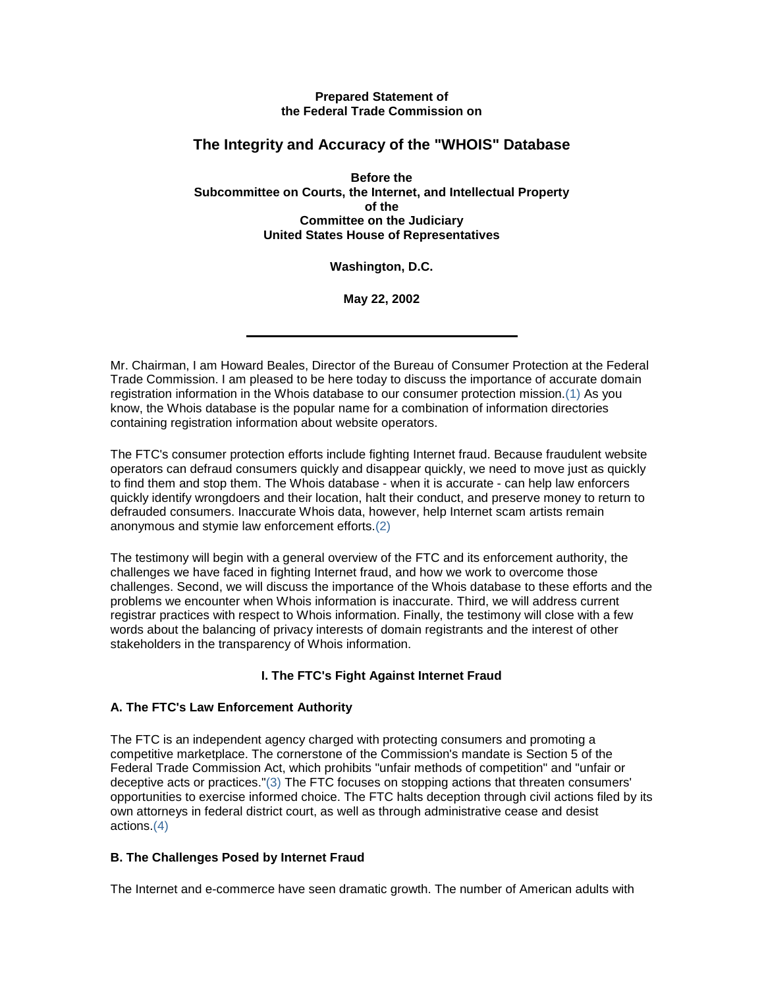### **Prepared Statement of the Federal Trade Commission on**

# **The Integrity and Accuracy of the "WHOIS" Database**

**Before the Subcommittee on Courts, the Internet, and Intellectual Property of the Committee on the Judiciary United States House of Representatives**

**Washington, D.C.**

**May 22, 2002**

Mr. Chairman, I am Howard Beales, Director of the Bureau of Consumer Protection at the Federal Trade Commission. I am pleased to be here today to discuss the importance of accurate domain registration information in the Whois database to our consumer protection mission.(1) As you know, the Whois database is the popular name for a combination of information directories containing registration information about website operators.

The FTC's consumer protection efforts include fighting Internet fraud. Because fraudulent website operators can defraud consumers quickly and disappear quickly, we need to move just as quickly to find them and stop them. The Whois database - when it is accurate - can help law enforcers quickly identify wrongdoers and their location, halt their conduct, and preserve money to return to defrauded consumers. Inaccurate Whois data, however, help Internet scam artists remain anonymous and stymie law enforcement efforts.(2)

The testimony will begin with a general overview of the FTC and its enforcement authority, the challenges we have faced in fighting Internet fraud, and how we work to overcome those challenges. Second, we will discuss the importance of the Whois database to these efforts and the problems we encounter when Whois information is inaccurate. Third, we will address current registrar practices with respect to Whois information. Finally, the testimony will close with a few words about the balancing of privacy interests of domain registrants and the interest of other stakeholders in the transparency of Whois information.

# **I. The FTC's Fight Against Internet Fraud**

# **A. The FTC's Law Enforcement Authority**

The FTC is an independent agency charged with protecting consumers and promoting a competitive marketplace. The cornerstone of the Commission's mandate is Section 5 of the Federal Trade Commission Act, which prohibits "unfair methods of competition" and "unfair or deceptive acts or practices."(3) The FTC focuses on stopping actions that threaten consumers' opportunities to exercise informed choice. The FTC halts deception through civil actions filed by its own attorneys in federal district court, as well as through administrative cease and desist actions.(4)

# **B. The Challenges Posed by Internet Fraud**

The Internet and e-commerce have seen dramatic growth. The number of American adults with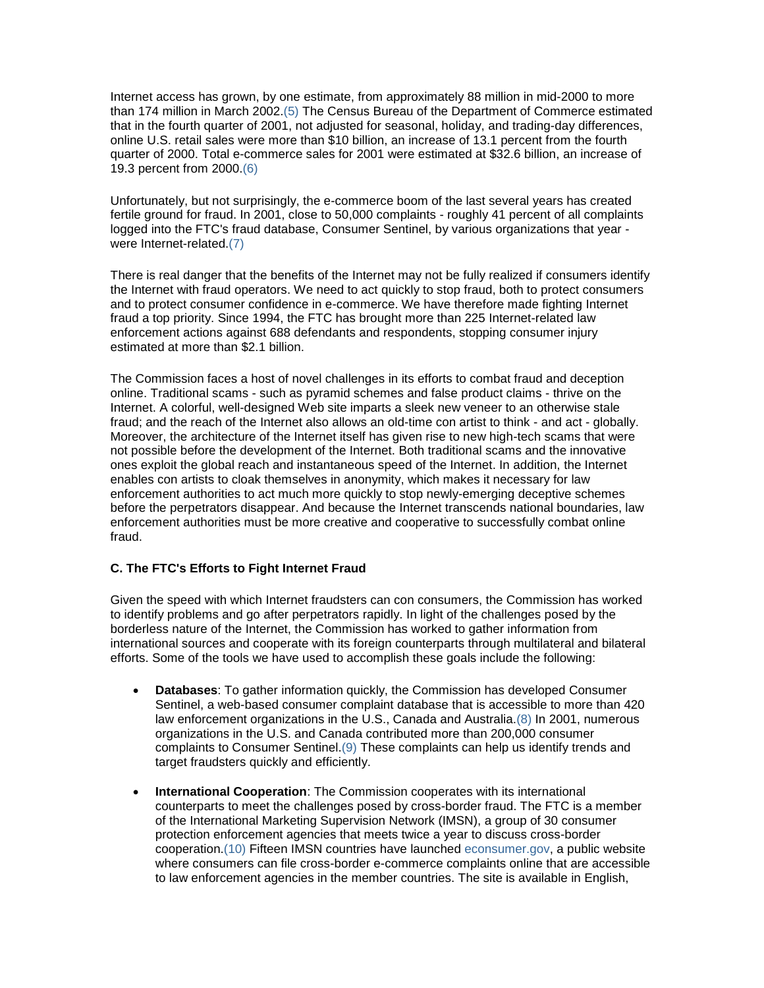Internet access has grown, by one estimate, from approximately 88 million in mid-2000 to more than 174 million in March 2002.(5) The Census Bureau of the Department of Commerce estimated that in the fourth quarter of 2001, not adjusted for seasonal, holiday, and trading-day differences, online U.S. retail sales were more than \$10 billion, an increase of 13.1 percent from the fourth quarter of 2000. Total e-commerce sales for 2001 were estimated at \$32.6 billion, an increase of 19.3 percent from 2000.(6)

Unfortunately, but not surprisingly, the e-commerce boom of the last several years has created fertile ground for fraud. In 2001, close to 50,000 complaints - roughly 41 percent of all complaints logged into the FTC's fraud database, Consumer Sentinel, by various organizations that year were Internet-related.(7)

There is real danger that the benefits of the Internet may not be fully realized if consumers identify the Internet with fraud operators. We need to act quickly to stop fraud, both to protect consumers and to protect consumer confidence in e-commerce. We have therefore made fighting Internet fraud a top priority. Since 1994, the FTC has brought more than 225 Internet-related law enforcement actions against 688 defendants and respondents, stopping consumer injury estimated at more than \$2.1 billion.

The Commission faces a host of novel challenges in its efforts to combat fraud and deception online. Traditional scams - such as pyramid schemes and false product claims - thrive on the Internet. A colorful, well-designed Web site imparts a sleek new veneer to an otherwise stale fraud; and the reach of the Internet also allows an old-time con artist to think - and act - globally. Moreover, the architecture of the Internet itself has given rise to new high-tech scams that were not possible before the development of the Internet. Both traditional scams and the innovative ones exploit the global reach and instantaneous speed of the Internet. In addition, the Internet enables con artists to cloak themselves in anonymity, which makes it necessary for law enforcement authorities to act much more quickly to stop newly-emerging deceptive schemes before the perpetrators disappear. And because the Internet transcends national boundaries, law enforcement authorities must be more creative and cooperative to successfully combat online fraud.

## **C. The FTC's Efforts to Fight Internet Fraud**

Given the speed with which Internet fraudsters can con consumers, the Commission has worked to identify problems and go after perpetrators rapidly. In light of the challenges posed by the borderless nature of the Internet, the Commission has worked to gather information from international sources and cooperate with its foreign counterparts through multilateral and bilateral efforts. Some of the tools we have used to accomplish these goals include the following:

- **Databases**: To gather information quickly, the Commission has developed Consumer Sentinel, a web-based consumer complaint database that is accessible to more than 420 law enforcement organizations in the U.S., Canada and Australia.(8) In 2001, numerous organizations in the U.S. and Canada contributed more than 200,000 consumer complaints to Consumer Sentinel.(9) These complaints can help us identify trends and target fraudsters quickly and efficiently.
- **International Cooperation**: The Commission cooperates with its international counterparts to meet the challenges posed by cross-border fraud. The FTC is a member of the International Marketing Supervision Network (IMSN), a group of 30 consumer protection enforcement agencies that meets twice a year to discuss cross-border cooperation.(10) Fifteen IMSN countries have launched [econsumer.gov,](http://www.econsumer.gov/) a public website where consumers can file cross-border e-commerce complaints online that are accessible to law enforcement agencies in the member countries. The site is available in English,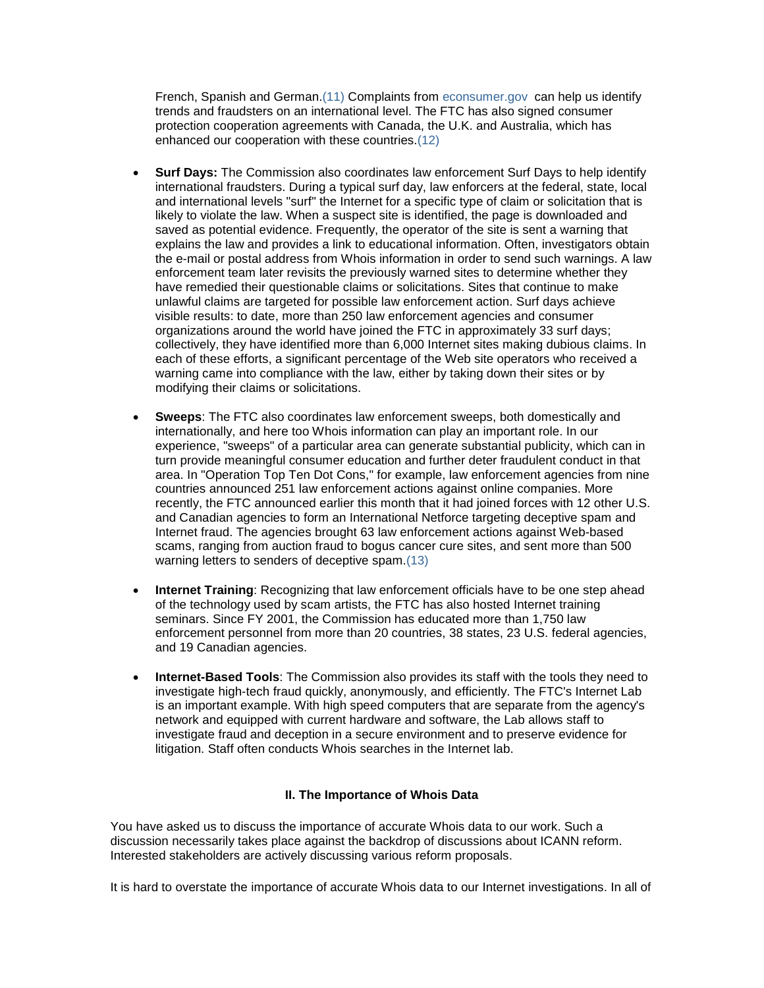French, Spanish and German.(11) Complaints from [econsumer.gov](http://www.econsumer.gov/) can help us identify trends and fraudsters on an international level. The FTC has also signed consumer protection cooperation agreements with Canada, the U.K. and Australia, which has enhanced our cooperation with these countries.(12)

- **Surf Days:** The Commission also coordinates law enforcement Surf Days to help identify international fraudsters. During a typical surf day, law enforcers at the federal, state, local and international levels "surf" the Internet for a specific type of claim or solicitation that is likely to violate the law. When a suspect site is identified, the page is downloaded and saved as potential evidence. Frequently, the operator of the site is sent a warning that explains the law and provides a link to educational information. Often, investigators obtain the e-mail or postal address from Whois information in order to send such warnings. A law enforcement team later revisits the previously warned sites to determine whether they have remedied their questionable claims or solicitations. Sites that continue to make unlawful claims are targeted for possible law enforcement action. Surf days achieve visible results: to date, more than 250 law enforcement agencies and consumer organizations around the world have joined the FTC in approximately 33 surf days; collectively, they have identified more than 6,000 Internet sites making dubious claims. In each of these efforts, a significant percentage of the Web site operators who received a warning came into compliance with the law, either by taking down their sites or by modifying their claims or solicitations.
- **Sweeps**: The FTC also coordinates law enforcement sweeps, both domestically and internationally, and here too Whois information can play an important role. In our experience, "sweeps" of a particular area can generate substantial publicity, which can in turn provide meaningful consumer education and further deter fraudulent conduct in that area. In "Operation Top Ten Dot Cons," for example, law enforcement agencies from nine countries announced 251 law enforcement actions against online companies. More recently, the FTC announced earlier this month that it had joined forces with 12 other U.S. and Canadian agencies to form an International Netforce targeting deceptive spam and Internet fraud. The agencies brought 63 law enforcement actions against Web-based scams, ranging from auction fraud to bogus cancer cure sites, and sent more than 500 warning letters to senders of deceptive spam.(13)
- **Internet Training**: Recognizing that law enforcement officials have to be one step ahead of the technology used by scam artists, the FTC has also hosted Internet training seminars. Since FY 2001, the Commission has educated more than 1,750 law enforcement personnel from more than 20 countries, 38 states, 23 U.S. federal agencies, and 19 Canadian agencies.
- **Internet-Based Tools**: The Commission also provides its staff with the tools they need to investigate high-tech fraud quickly, anonymously, and efficiently. The FTC's Internet Lab is an important example. With high speed computers that are separate from the agency's network and equipped with current hardware and software, the Lab allows staff to investigate fraud and deception in a secure environment and to preserve evidence for litigation. Staff often conducts Whois searches in the Internet lab.

### **II. The Importance of Whois Data**

You have asked us to discuss the importance of accurate Whois data to our work. Such a discussion necessarily takes place against the backdrop of discussions about ICANN reform. Interested stakeholders are actively discussing various reform proposals.

It is hard to overstate the importance of accurate Whois data to our Internet investigations. In all of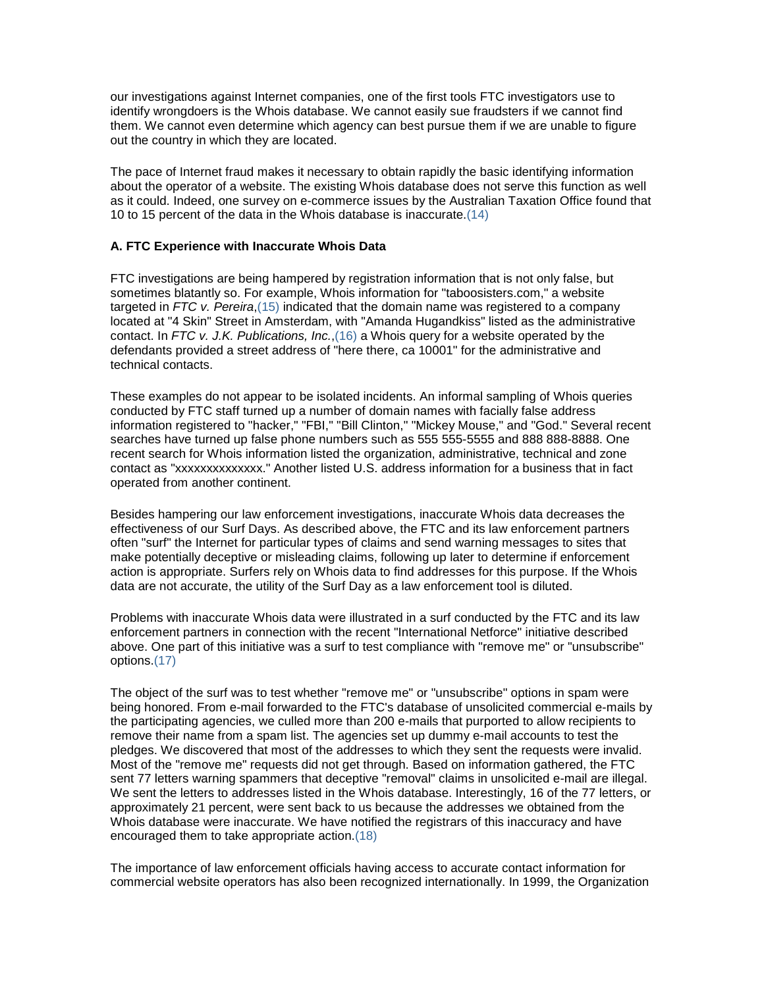our investigations against Internet companies, one of the first tools FTC investigators use to identify wrongdoers is the Whois database. We cannot easily sue fraudsters if we cannot find them. We cannot even determine which agency can best pursue them if we are unable to figure out the country in which they are located.

The pace of Internet fraud makes it necessary to obtain rapidly the basic identifying information about the operator of a website. The existing Whois database does not serve this function as well as it could. Indeed, one survey on e-commerce issues by the Australian Taxation Office found that 10 to 15 percent of the data in the Whois database is inaccurate.(14)

### **A. FTC Experience with Inaccurate Whois Data**

FTC investigations are being hampered by registration information that is not only false, but sometimes blatantly so. For example, Whois information for "taboosisters.com," a website targeted in *FTC v. Pereira*,(15) indicated that the domain name was registered to a company located at "4 Skin" Street in Amsterdam, with "Amanda Hugandkiss" listed as the administrative contact. In *FTC v. J.K. Publications, Inc.*,(16) a Whois query for a website operated by the defendants provided a street address of "here there, ca 10001" for the administrative and technical contacts.

These examples do not appear to be isolated incidents. An informal sampling of Whois queries conducted by FTC staff turned up a number of domain names with facially false address information registered to "hacker," "FBI," "Bill Clinton," "Mickey Mouse," and "God." Several recent searches have turned up false phone numbers such as 555 555-5555 and 888 888-8888. One recent search for Whois information listed the organization, administrative, technical and zone contact as "xxxxxxxxxxxxxx." Another listed U.S. address information for a business that in fact operated from another continent.

Besides hampering our law enforcement investigations, inaccurate Whois data decreases the effectiveness of our Surf Days. As described above, the FTC and its law enforcement partners often "surf" the Internet for particular types of claims and send warning messages to sites that make potentially deceptive or misleading claims, following up later to determine if enforcement action is appropriate. Surfers rely on Whois data to find addresses for this purpose. If the Whois data are not accurate, the utility of the Surf Day as a law enforcement tool is diluted.

Problems with inaccurate Whois data were illustrated in a surf conducted by the FTC and its law enforcement partners in connection with the recent "International Netforce" initiative described above. One part of this initiative was a surf to test compliance with "remove me" or "unsubscribe" options.(17)

The object of the surf was to test whether "remove me" or "unsubscribe" options in spam were being honored. From e-mail forwarded to the FTC's database of unsolicited commercial e-mails by the participating agencies, we culled more than 200 e-mails that purported to allow recipients to remove their name from a spam list. The agencies set up dummy e-mail accounts to test the pledges. We discovered that most of the addresses to which they sent the requests were invalid. Most of the "remove me" requests did not get through. Based on information gathered, the FTC sent 77 letters warning spammers that deceptive "removal" claims in unsolicited e-mail are illegal. We sent the letters to addresses listed in the Whois database. Interestingly, 16 of the 77 letters, or approximately 21 percent, were sent back to us because the addresses we obtained from the Whois database were inaccurate. We have notified the registrars of this inaccuracy and have encouraged them to take appropriate action.(18)

The importance of law enforcement officials having access to accurate contact information for commercial website operators has also been recognized internationally. In 1999, the Organization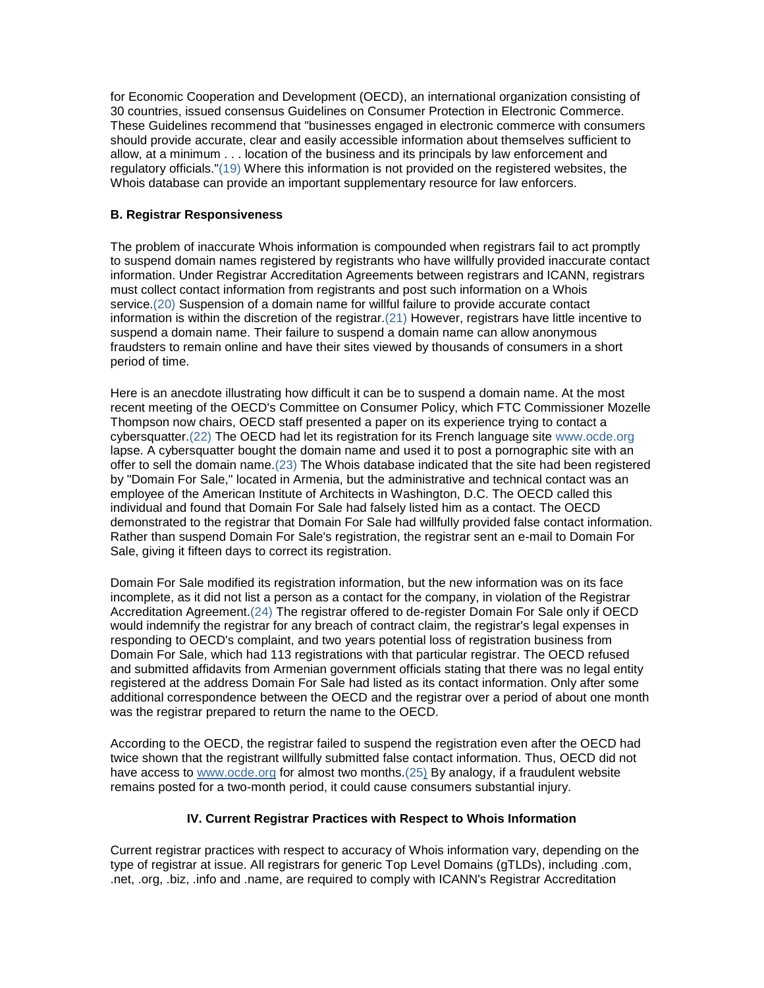for Economic Cooperation and Development (OECD), an international organization consisting of 30 countries, issued consensus Guidelines on Consumer Protection in Electronic Commerce. These Guidelines recommend that "businesses engaged in electronic commerce with consumers should provide accurate, clear and easily accessible information about themselves sufficient to allow, at a minimum . . . location of the business and its principals by law enforcement and regulatory officials."(19) Where this information is not provided on the registered websites, the Whois database can provide an important supplementary resource for law enforcers.

### **B. Registrar Responsiveness**

The problem of inaccurate Whois information is compounded when registrars fail to act promptly to suspend domain names registered by registrants who have willfully provided inaccurate contact information. Under Registrar Accreditation Agreements between registrars and ICANN, registrars must collect contact information from registrants and post such information on a Whois service.(20) Suspension of a domain name for willful failure to provide accurate contact information is within the discretion of the registrar.(21) However, registrars have little incentive to suspend a domain name. Their failure to suspend a domain name can allow anonymous fraudsters to remain online and have their sites viewed by thousands of consumers in a short period of time.

Here is an anecdote illustrating how difficult it can be to suspend a domain name. At the most recent meeting of the OECD's Committee on Consumer Policy, which FTC Commissioner Mozelle Thompson now chairs, OECD staff presented a paper on its experience trying to contact a cybersquatter.(22) The OECD had let its registration for its French language site [www.ocde.org](http://www.ocde.org/) lapse. A cybersquatter bought the domain name and used it to post a pornographic site with an offer to sell the domain name.(23) The Whois database indicated that the site had been registered by "Domain For Sale," located in Armenia, but the administrative and technical contact was an employee of the American Institute of Architects in Washington, D.C. The OECD called this individual and found that Domain For Sale had falsely listed him as a contact. The OECD demonstrated to the registrar that Domain For Sale had willfully provided false contact information. Rather than suspend Domain For Sale's registration, the registrar sent an e-mail to Domain For Sale, giving it fifteen days to correct its registration.

Domain For Sale modified its registration information, but the new information was on its face incomplete, as it did not list a person as a contact for the company, in violation of the Registrar Accreditation Agreement.(24) The registrar offered to de-register Domain For Sale only if OECD would indemnify the registrar for any breach of contract claim, the registrar's legal expenses in responding to OECD's complaint, and two years potential loss of registration business from Domain For Sale, which had 113 registrations with that particular registrar. The OECD refused and submitted affidavits from Armenian government officials stating that there was no legal entity registered at the address Domain For Sale had listed as its contact information. Only after some additional correspondence between the OECD and the registrar over a period of about one month was the registrar prepared to return the name to the OECD.

According to the OECD, the registrar failed to suspend the registration even after the OECD had twice shown that the registrant willfully submitted false contact information. Thus, OECD did not have access to [www.ocde.org](http://www.ocde.org/) for almost two months.(2[5\)](http://www.ftc.gov/os/2002/05/whois.htm#N_25_) By analogy, if a fraudulent website remains posted for a two-month period, it could cause consumers substantial injury.

## **IV. Current Registrar Practices with Respect to Whois Information**

Current registrar practices with respect to accuracy of Whois information vary, depending on the type of registrar at issue. All registrars for generic Top Level Domains (gTLDs), including .com, .net, .org, .biz, .info and .name, are required to comply with ICANN's Registrar Accreditation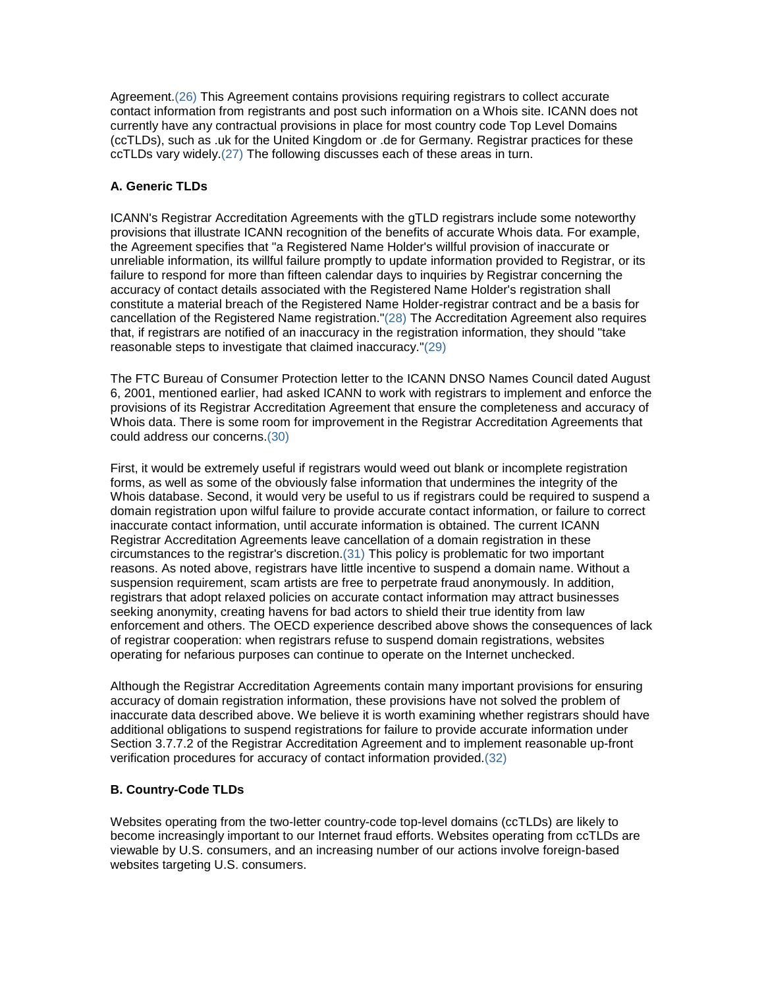Agreement.(26) This Agreement contains provisions requiring registrars to collect accurate contact information from registrants and post such information on a Whois site. ICANN does not currently have any contractual provisions in place for most country code Top Level Domains (ccTLDs), such as .uk for the United Kingdom or .de for Germany. Registrar practices for these ccTLDs vary widely.(27) The following discusses each of these areas in turn.

## **A. Generic TLDs**

ICANN's Registrar Accreditation Agreements with the gTLD registrars include some noteworthy provisions that illustrate ICANN recognition of the benefits of accurate Whois data. For example, the Agreement specifies that "a Registered Name Holder's willful provision of inaccurate or unreliable information, its willful failure promptly to update information provided to Registrar, or its failure to respond for more than fifteen calendar days to inquiries by Registrar concerning the accuracy of contact details associated with the Registered Name Holder's registration shall constitute a material breach of the Registered Name Holder-registrar contract and be a basis for cancellation of the Registered Name registration."(28) The Accreditation Agreement also requires that, if registrars are notified of an inaccuracy in the registration information, they should "take reasonable steps to investigate that claimed inaccuracy."(29)

The FTC Bureau of Consumer Protection letter to the ICANN DNSO Names Council dated August 6, 2001, mentioned earlier, had asked ICANN to work with registrars to implement and enforce the provisions of its Registrar Accreditation Agreement that ensure the completeness and accuracy of Whois data. There is some room for improvement in the Registrar Accreditation Agreements that could address our concerns.(30)

First, it would be extremely useful if registrars would weed out blank or incomplete registration forms, as well as some of the obviously false information that undermines the integrity of the Whois database. Second, it would very be useful to us if registrars could be required to suspend a domain registration upon wilful failure to provide accurate contact information, or failure to correct inaccurate contact information, until accurate information is obtained. The current ICANN Registrar Accreditation Agreements leave cancellation of a domain registration in these circumstances to the registrar's discretion.(31) This policy is problematic for two important reasons. As noted above, registrars have little incentive to suspend a domain name. Without a suspension requirement, scam artists are free to perpetrate fraud anonymously. In addition, registrars that adopt relaxed policies on accurate contact information may attract businesses seeking anonymity, creating havens for bad actors to shield their true identity from law enforcement and others. The OECD experience described above shows the consequences of lack of registrar cooperation: when registrars refuse to suspend domain registrations, websites operating for nefarious purposes can continue to operate on the Internet unchecked.

Although the Registrar Accreditation Agreements contain many important provisions for ensuring accuracy of domain registration information, these provisions have not solved the problem of inaccurate data described above. We believe it is worth examining whether registrars should have additional obligations to suspend registrations for failure to provide accurate information under Section 3.7.7.2 of the Registrar Accreditation Agreement and to implement reasonable up-front verification procedures for accuracy of contact information provided.(32)

## **B. Country-Code TLDs**

Websites operating from the two-letter country-code top-level domains (ccTLDs) are likely to become increasingly important to our Internet fraud efforts. Websites operating from ccTLDs are viewable by U.S. consumers, and an increasing number of our actions involve foreign-based websites targeting U.S. consumers.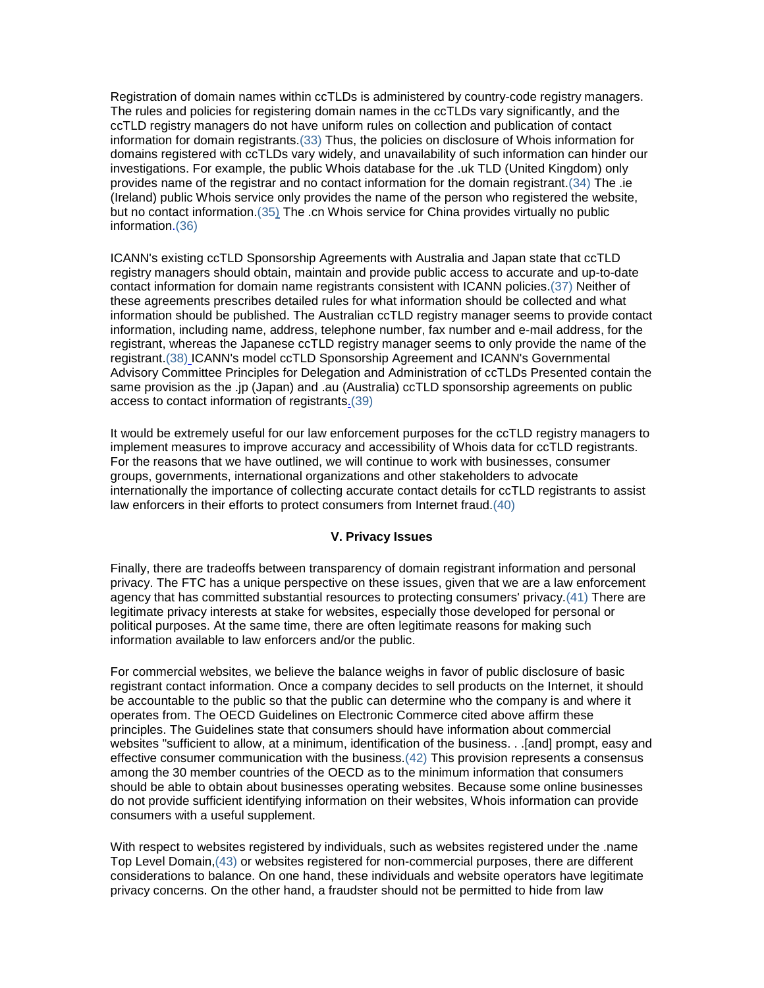Registration of domain names within ccTLDs is administered by country-code registry managers. The rules and policies for registering domain names in the ccTLDs vary significantly, and the ccTLD registry managers do not have uniform rules on collection and publication of contact information for domain registrants.(33) Thus, the policies on disclosure of Whois information for domains registered with ccTLDs vary widely, and unavailability of such information can hinder our investigations. For example, the public Whois database for the .uk TLD (United Kingdom) only provides name of the registrar and no contact information for the domain registrant.(34) The .ie (Ireland) public Whois service only provides the name of the person who registered the website, but no contact information.(3[5\)](http://www.ftc.gov/os/2002/05/whois.htm#N_35_) The .cn Whois service for China provides virtually no public information.(36)

ICANN's existing ccTLD Sponsorship Agreements with Australia and Japan state that ccTLD registry managers should obtain, maintain and provide public access to accurate and up-to-date contact information for domain name registrants consistent with ICANN policies.(37) Neither of these agreements prescribes detailed rules for what information should be collected and what information should be published. The Australian ccTLD registry manager seems to provide contact information, including name, address, telephone number, fax number and e-mail address, for the registrant, whereas the Japanese ccTLD registry manager seems to only provide the name of the registrant.(38) ICANN's model ccTLD Sponsorship Agreement and ICANN's Governmental Advisory Committee Principles for Delegation and Administration of ccTLDs Presented contain the same provision as the .jp (Japan) and .au (Australia) ccTLD sponsorship agreements on public access to contact information of registrants.(39)

It would be extremely useful for our law enforcement purposes for the ccTLD registry managers to implement measures to improve accuracy and accessibility of Whois data for ccTLD registrants. For the reasons that we have outlined, we will continue to work with businesses, consumer groups, governments, international organizations and other stakeholders to advocate internationally the importance of collecting accurate contact details for ccTLD registrants to assist law enforcers in their efforts to protect consumers from Internet fraud.(40)

### **V. Privacy Issues**

Finally, there are tradeoffs between transparency of domain registrant information and personal privacy. The FTC has a unique perspective on these issues, given that we are a law enforcement agency that has committed substantial resources to protecting consumers' privacy.(41) There are legitimate privacy interests at stake for websites, especially those developed for personal or political purposes. At the same time, there are often legitimate reasons for making such information available to law enforcers and/or the public.

For commercial websites, we believe the balance weighs in favor of public disclosure of basic registrant contact information. Once a company decides to sell products on the Internet, it should be accountable to the public so that the public can determine who the company is and where it operates from. The OECD Guidelines on Electronic Commerce cited above affirm these principles. The Guidelines state that consumers should have information about commercial websites "sufficient to allow, at a minimum, identification of the business. . .[and] prompt, easy and effective consumer communication with the business.(42) This provision represents a consensus among the 30 member countries of the OECD as to the minimum information that consumers should be able to obtain about businesses operating websites. Because some online businesses do not provide sufficient identifying information on their websites, Whois information can provide consumers with a useful supplement.

With respect to websites registered by individuals, such as websites registered under the .name Top Level Domain,(43) or websites registered for non-commercial purposes, there are different considerations to balance. On one hand, these individuals and website operators have legitimate privacy concerns. On the other hand, a fraudster should not be permitted to hide from law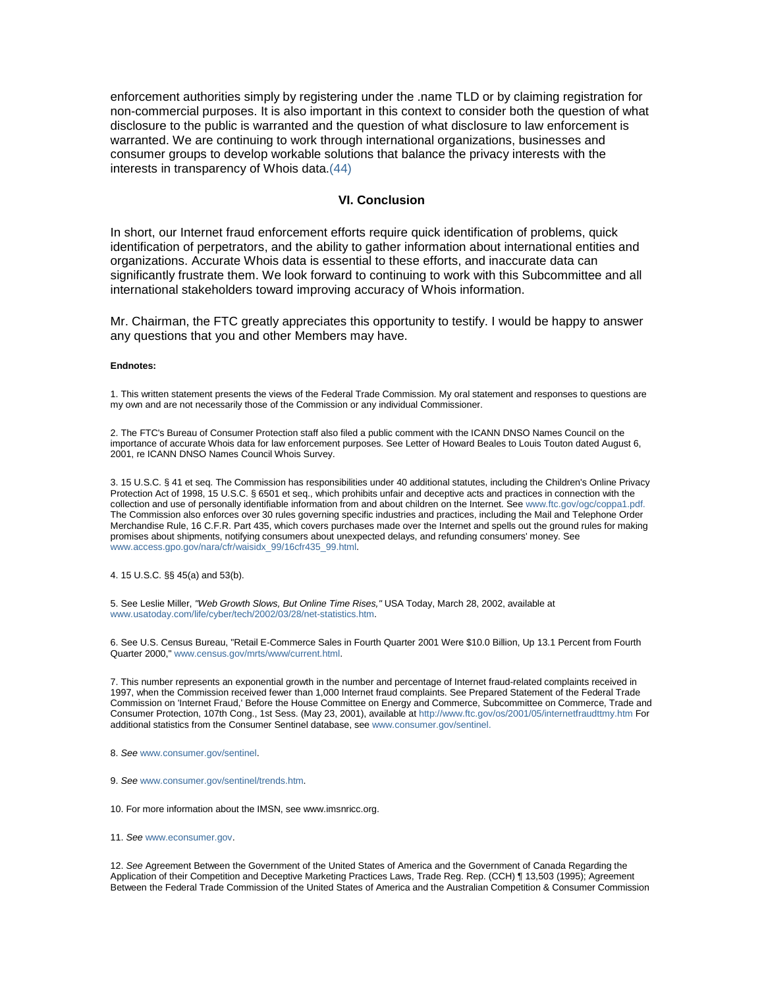enforcement authorities simply by registering under the .name TLD or by claiming registration for non-commercial purposes. It is also important in this context to consider both the question of what disclosure to the public is warranted and the question of what disclosure to law enforcement is warranted. We are continuing to work through international organizations, businesses and consumer groups to develop workable solutions that balance the privacy interests with the interests in transparency of Whois data.(44)

#### **VI. Conclusion**

In short, our Internet fraud enforcement efforts require quick identification of problems, quick identification of perpetrators, and the ability to gather information about international entities and organizations. Accurate Whois data is essential to these efforts, and inaccurate data can significantly frustrate them. We look forward to continuing to work with this Subcommittee and all international stakeholders toward improving accuracy of Whois information.

Mr. Chairman, the FTC greatly appreciates this opportunity to testify. I would be happy to answer any questions that you and other Members may have.

#### **Endnotes:**

1. This written statement presents the views of the Federal Trade Commission. My oral statement and responses to questions are my own and are not necessarily those of the Commission or any individual Commissioner.

2. The FTC's Bureau of Consumer Protection staff also filed a public comment with the ICANN DNSO Names Council on the importance of accurate Whois data for law enforcement purposes. See Letter of Howard Beales to Louis Touton dated August 6, 2001, re ICANN DNSO Names Council Whois Survey.

3. 15 U.S.C. § 41 et seq. The Commission has responsibilities under 40 additional statutes, including the Children's Online Privacy Protection Act of 1998, 15 U.S.C. § 6501 et seq., which prohibits unfair and deceptive acts and practices in connection with the collection and use of personally identifiable information from and about children on the Internet. Se[e www.ftc.gov/ogc/coppa1.pdf.](http://www.ftc.gov/) The Commission also enforces over 30 rules governing specific industries and practices, including the Mail and Telephone Order Merchandise Rule, 16 C.F.R. Part 435, which covers purchases made over the Internet and spells out the ground rules for making promises about shipments, notifying consumers about unexpected delays, and refunding consumers' money. See [www.access.gpo.gov/nara/cfr/waisidx\\_99/16cfr435\\_99.html.](http://www.access.gpo.gov/nara/cfr/waisidx_99/16cfr435_99.html) 

4. 15 U.S.C. §§ 45(a) and 53(b).

5. See Leslie Miller, *"Web Growth Slows, But Online Time Rises,"* USA Today, March 28, 2002, available at [www.usatoday.com/life/cyber/tech/2002/03/28/net-statistics.htm.](http://www.usatoday.com/life/cyber/tech/2002/03/28/net-statistics.htm)

6. See U.S. Census Bureau, "Retail E-Commerce Sales in Fourth Quarter 2001 Were \$10.0 Billion, Up 13.1 Percent from Fourth Quarter 2000,[" www.census.gov/mrts/www/current.html.](http://www.census.gov/mrts/www/current.html) 

7. This number represents an exponential growth in the number and percentage of Internet fraud-related complaints received in 1997, when the Commission received fewer than 1,000 Internet fraud complaints. See Prepared Statement of the Federal Trade Commission on 'Internet Fraud,' Before the House Committee on Energy and Commerce, Subcommittee on Commerce, Trade and Consumer Protection, 107th Cong., 1st Sess. (May 23, 2001), available a[t http://www.ftc.gov/os/2001/05/internetfraudttmy.htm](http://www.ftc.gov/os/2001/05/internetfraudttmy.htm) For additional statistics from the Consumer Sentinel database, se[e www.consumer.gov/sentinel.](http://www.consumer.gov/)

- 8. *See* [www.consumer.gov/sentinel.](http://www.consumer.gov/sentinel)
- 9. *See* [www.consumer.gov/sentinel/trends.htm.](http://www.consumer.gov/sentinel/trends.htm)

10. For more information about the IMSN, see www.imsnricc.org.

11. *See* [www.econsumer.gov.](http://www.econsumer.gov/)

12. *See* Agreement Between the Government of the United States of America and the Government of Canada Regarding the Application of their Competition and Deceptive Marketing Practices Laws, Trade Reg. Rep. (CCH) ¶ 13,503 (1995); Agreement Between the Federal Trade Commission of the United States of America and the Australian Competition & Consumer Commission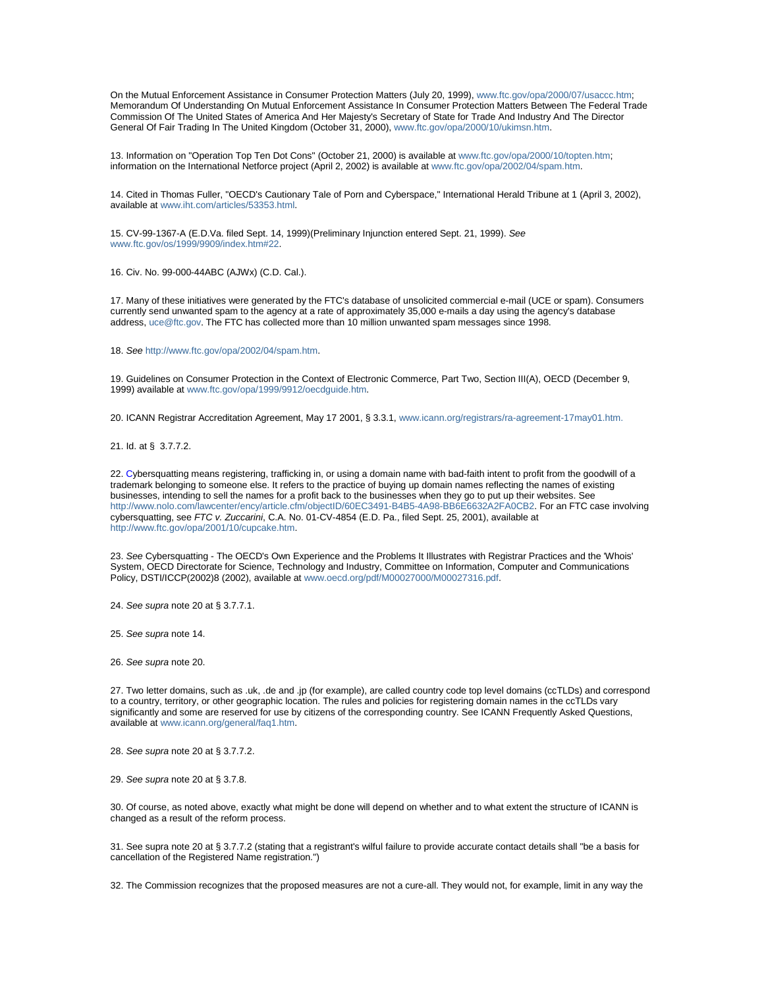On the Mutual Enforcement Assistance in Consumer Protection Matters (July 20, 1999)[, www.ftc.gov/opa/2000/07/usaccc.htm;](http://www.ftc.gov/opa/2000/07/usaccc.htm.) Memorandum Of Understanding On Mutual Enforcement Assistance In Consumer Protection Matters Between The Federal Trade Commission Of The United States of America And Her Majesty's Secretary of State for Trade And Industry And The Director General Of Fair Trading In The United Kingdom (October 31, 2000)[, www.ftc.gov/opa/2000/10/ukimsn.htm.](http://www.ftc.gov/opa/2000/10/ukimsn.htm) 

13. Information on "Operation Top Ten Dot Cons" (October 21, 2000) is available a[t www.ftc.gov/opa/2000/10/topten.htm;](http://www.ftc.gov/opa/2000/10/topten.htm) information on the International Netforce project (April 2, 2002) is available a[t www.ftc.gov/opa/2002/04/spam.htm.](http://www.ftc.gov/opa/2002/04/spam.htm)

14. Cited in Thomas Fuller, "OECD's Cautionary Tale of Porn and Cyberspace," International Herald Tribune at 1 (April 3, 2002), available a[t www.iht.com/articles/53353.html.](http://www.iht.com/articles/53353.html)

15. CV-99-1367-A (E.D.Va. filed Sept. 14, 1999)(Preliminary Injunction entered Sept. 21, 1999). *See* [www.ftc.gov/os/1999/9909/index.htm#22.](http://www.ftc.gov/os/1999/9909/index.htm) 

16. Civ. No. 99-000-44ABC (AJWx) (C.D. Cal.).

17. Many of these initiatives were generated by the FTC's database of unsolicited commercial e-mail (UCE or spam). Consumers currently send unwanted spam to the agency at a rate of approximately 35,000 e-mails a day using the agency's database address[, uce@ftc.gov](mailto:spam@uce.gov). The FTC has collected more than 10 million unwanted spam messages since 1998.

18. *See* [http://www.ftc.gov/opa/2002/04/spam.htm.](http://www.ftc.gov/opa/2002/04/spam.htm) 

19. Guidelines on Consumer Protection in the Context of Electronic Commerce, Part Two, Section III(A), OECD (December 9, 1999) available at [www.ftc.gov/opa/1999/9912/oecdguide.htm.](http://www.ftc.gov/opa/1999/9912/oecdguide.htm) 

20. ICANN Registrar Accreditation Agreement, May 17 2001, § 3.3.1, [www.icann.org/registrars/ra-agreement-17may01.htm.](http://www.icann.org/registrars/ra-agreement-17may01.htm.)

21. Id. at § 3.7.7.2.

22. Cybersquatting means registering, trafficking in, or using a domain name with bad-faith intent to profit from the goodwill of a trademark belonging to someone else. It refers to the practice of buying up domain names reflecting the names of existing businesses, intending to sell the names for a profit back to the businesses when they go to put up their websites. See [http://www.nolo.com/lawcenter/ency/article.cfm/objectID/60EC3491-B4B5-4A98-BB6E6632A2FA0CB2.](http://www.nolo.com/lawcenter/ency/article.cfm/objectID/60EC3491-B4B5-4A98-BB6E6632A2FA0CB2) For an FTC case involving cybersquatting, see *FTC v. Zuccarini*, C.A. No. 01-CV-4854 (E.D. Pa., filed Sept. 25, 2001), available at [http://www.ftc.gov/opa/2001/10/cupcake.htm.](http://www.ftc.gov/opa/2001/10/cupcake.htm)

23. *See* Cybersquatting - The OECD's Own Experience and the Problems It Illustrates with Registrar Practices and the 'Whois' System, OECD Directorate for Science, Technology and Industry, Committee on Information, Computer and Communications Policy, DSTI/ICCP(2002)8 (2002), available a[t www.oecd.org/pdf/M00027000/M00027316.pdf.](http://www.oecd.org/pdf/M00027000/M00027316.pdf) 

24. *See supra* note 20 at § 3.7.7.1.

25. *See supra* note 14.

26. *See supra* note 20.

27. Two letter domains, such as .uk, .de and .jp (for example), are called country code top level domains (ccTLDs) and correspond to a country, territory, or other geographic location. The rules and policies for registering domain names in the ccTLDs vary significantly and some are reserved for use by citizens of the corresponding country. See ICANN Frequently Asked Questions, available a[t www.icann.org/general/faq1.htm.](http://www.icann.org/general/faq1.htm)

28. *See supra* note 20 at § 3.7.7.2.

29. *See supra* note 20 at § 3.7.8.

30. Of course, as noted above, exactly what might be done will depend on whether and to what extent the structure of ICANN is changed as a result of the reform process.

31. See supra note 20 at § 3.7.7.2 (stating that a registrant's wilful failure to provide accurate contact details shall "be a basis for cancellation of the Registered Name registration.")

32. The Commission recognizes that the proposed measures are not a cure-all. They would not, for example, limit in any way the